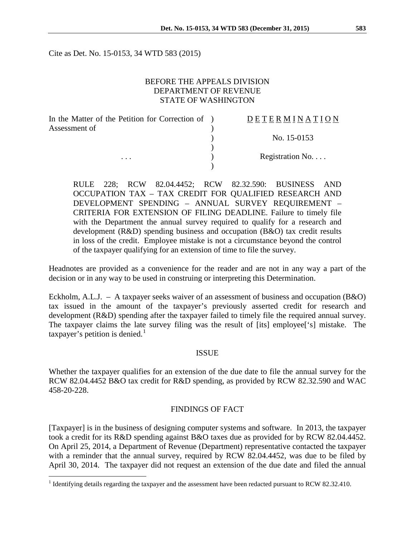Cite as Det. No. 15-0153, 34 WTD 583 (2015)

## BEFORE THE APPEALS DIVISION DEPARTMENT OF REVENUE STATE OF WASHINGTON

| In the Matter of the Petition for Correction of ) | DETERMINATION             |
|---------------------------------------------------|---------------------------|
| Assessment of                                     |                           |
|                                                   | No. $15-0153$             |
|                                                   |                           |
| .                                                 | Registration $No. \ldots$ |
|                                                   |                           |

RULE 228; RCW 82.04.4452; RCW 82.32.590: BUSINESS AND OCCUPATION TAX – TAX CREDIT FOR QUALIFIED RESEARCH AND DEVELOPMENT SPENDING – ANNUAL SURVEY REQUIREMENT – CRITERIA FOR EXTENSION OF FILING DEADLINE. Failure to timely file with the Department the annual survey required to qualify for a research and development (R&D) spending business and occupation (B&O) tax credit results in loss of the credit. Employee mistake is not a circumstance beyond the control of the taxpayer qualifying for an extension of time to file the survey.

Headnotes are provided as a convenience for the reader and are not in any way a part of the decision or in any way to be used in construing or interpreting this Determination.

Eckholm, A.L.J. – A taxpayer seeks waiver of an assessment of business and occupation (B&O) tax issued in the amount of the taxpayer's previously asserted credit for research and development (R&D) spending after the taxpayer failed to timely file the required annual survey. The taxpayer claims the late survey filing was the result of [its] employee['s] mistake. The taxpayer's petition is denied.<sup>[1](#page-0-0)</sup>

#### ISSUE

Whether the taxpayer qualifies for an extension of the due date to file the annual survey for the RCW 82.04.4452 B&O tax credit for R&D spending, as provided by RCW 82.32.590 and WAC 458-20-228.

#### FINDINGS OF FACT

[Taxpayer] is in the business of designing computer systems and software. In 2013, the taxpayer took a credit for its R&D spending against B&O taxes due as provided for by RCW 82.04.4452. On April 25, 2014, a Department of Revenue (Department) representative contacted the taxpayer with a reminder that the annual survey, required by RCW 82.04.4452, was due to be filed by April 30, 2014. The taxpayer did not request an extension of the due date and filed the annual

<span id="page-0-0"></span><sup>&</sup>lt;sup>1</sup> Identifying details regarding the taxpayer and the assessment have been redacted pursuant to RCW 82.32.410.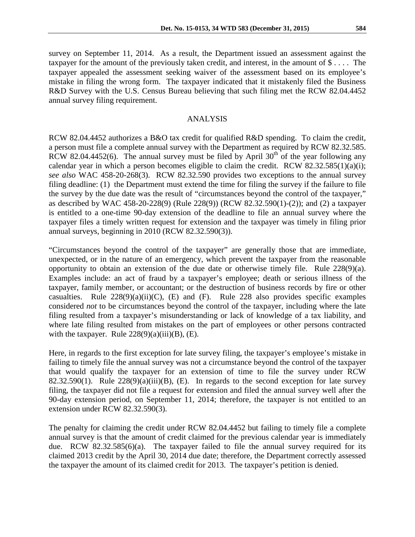survey on September 11, 2014. As a result, the Department issued an assessment against the taxpayer for the amount of the previously taken credit, and interest, in the amount of \$ . . . . The taxpayer appealed the assessment seeking waiver of the assessment based on its employee's mistake in filing the wrong form. The taxpayer indicated that it mistakenly filed the Business R&D Survey with the U.S. Census Bureau believing that such filing met the RCW 82.04.4452 annual survey filing requirement.

### ANALYSIS

RCW 82.04.4452 authorizes a B&O tax credit for qualified R&D spending. To claim the credit, a person must file a complete annual survey with the Department as required by RCW 82.32.585. RCW 82.04.4452(6). The annual survey must be filed by April  $30<sup>th</sup>$  of the year following any calendar year in which a person becomes eligible to claim the credit. RCW  $82.32.585(1)(a)(i)$ ; *see also* WAC 458-20-268(3). RCW 82.32.590 provides two exceptions to the annual survey filing deadline: (1) the Department must extend the time for filing the survey if the failure to file the survey by the due date was the result of "circumstances beyond the control of the taxpayer," as described by WAC 458-20-228(9) (Rule 228(9)) (RCW 82.32.590(1)-(2)); and (2) a taxpayer is entitled to a one-time 90-day extension of the deadline to file an annual survey where the taxpayer files a timely written request for extension and the taxpayer was timely in filing prior annual surveys, beginning in 2010 (RCW 82.32.590(3)).

"Circumstances beyond the control of the taxpayer" are generally those that are immediate, unexpected, or in the nature of an emergency, which prevent the taxpayer from the reasonable opportunity to obtain an extension of the due date or otherwise timely file. Rule 228(9)(a). Examples include: an act of fraud by a taxpayer's employee; death or serious illness of the taxpayer, family member, or accountant; or the destruction of business records by fire or other casualties. Rule  $228(9)(a)(ii)(C)$ , (E) and (F). Rule 228 also provides specific examples considered *not* to be circumstances beyond the control of the taxpayer, including where the late filing resulted from a taxpayer's misunderstanding or lack of knowledge of a tax liability, and where late filing resulted from mistakes on the part of employees or other persons contracted with the taxpayer. Rule  $228(9)(a)(iii)(B)$ , (E).

Here, in regards to the first exception for late survey filing, the taxpayer's employee's mistake in failing to timely file the annual survey was not a circumstance beyond the control of the taxpayer that would qualify the taxpayer for an extension of time to file the survey under RCW 82.32.590(1). Rule  $228(9)(a)(iii)(B)$ , (E). In regards to the second exception for late survey filing, the taxpayer did not file a request for extension and filed the annual survey well after the 90-day extension period, on September 11, 2014; therefore, the taxpayer is not entitled to an extension under RCW 82.32.590(3).

The penalty for claiming the credit under RCW 82.04.4452 but failing to timely file a complete annual survey is that the amount of credit claimed for the previous calendar year is immediately due. RCW 82.32.585(6)(a). The taxpayer failed to file the annual survey required for its claimed 2013 credit by the April 30, 2014 due date; therefore, the Department correctly assessed the taxpayer the amount of its claimed credit for 2013. The taxpayer's petition is denied.